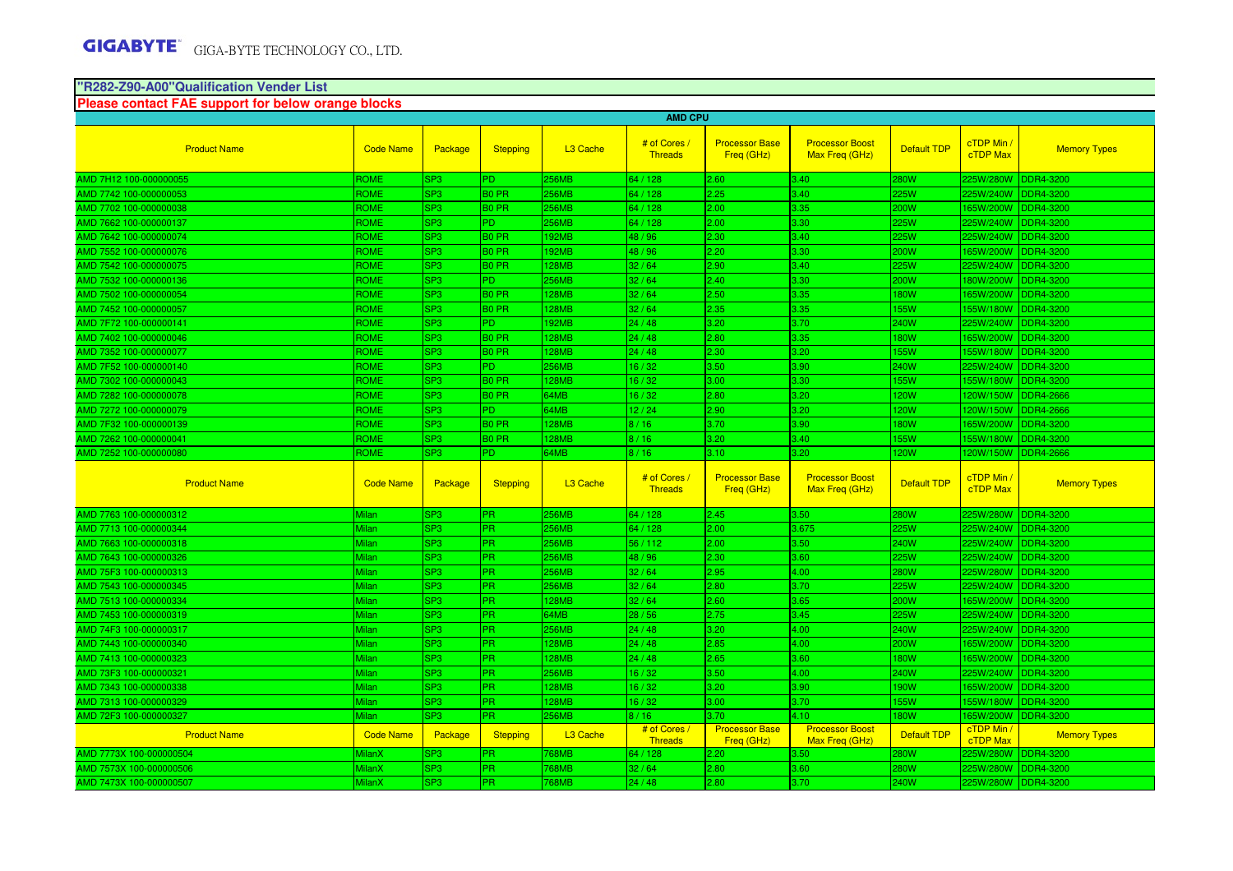# **"R282-Z90-A00"Qualification Vender List Please contact FAE support for below orange blocks**

|                         | <b>AMD CPU</b>   |                        |                   |                      |                                |                                     |                                          |                    |                               |                     |
|-------------------------|------------------|------------------------|-------------------|----------------------|--------------------------------|-------------------------------------|------------------------------------------|--------------------|-------------------------------|---------------------|
| <b>Product Name</b>     | <b>Code Name</b> | Package                | <b>Stepping</b>   | L <sub>3</sub> Cache | # of Cores<br><b>Threads</b>   | <b>Processor Base</b><br>Freq (GHz) | <b>Processor Boost</b><br>Max Freq (GHz) | <b>Default TDP</b> | cTDP Min /<br><b>cTDP Max</b> | <b>Memory Types</b> |
| AMD 7H12 100-000000055  | <b>ROME</b>      | SP3                    | PD.               | 256MB                | 64 / 128                       | 2.60                                | 3.40 <sub>1</sub>                        | 280W               | 225W/280W DDR4-3200           |                     |
| MD 7742 100-000000053   | <b>ROME</b>      | SP3                    | B <sub>0</sub> PR | 256MB                | 64 / 128                       | 2.25                                | 3.40                                     | 25W                | 225W/240W DDR4-3200           |                     |
| AMD 7702 100-000000038  | <b>ROME</b>      | SP <sub>3</sub>        | B <sub>0</sub> PR | <b>256MB</b>         | 64 / 128                       | 2.00                                | 3.35                                     | 200W               | 165W/200W                     | <b>IDDR4-3200</b>   |
| AMD 7662 100-000000137  | <b>ROME</b>      | SP3                    | PD.               | 256MB                | 64 / 128                       | 2.00                                | 3.30                                     | 25W                | 225W/240W                     | <b>DDR4-3200</b>    |
| AMD 7642 100-000000074  | <b>ROME</b>      | SP3                    | B <sub>0</sub> PR | <b>92MB</b>          | 48/96                          | 2.30                                | 3.40                                     | 25W                | 225W/240W                     | <b>IDDR4-3200</b>   |
| AMD 7552 100-000000076  | ROME             | SP3                    | <b>BO PR</b>      | <b>92MB</b>          | 48 / 96                        | 2.20                                | 3.30                                     | 200W               | 65W/200W                      | <b>DDR4-3200</b>    |
| MD 7542 100-000000075   | <b>ROME</b>      | SP3                    | <b>BO PR</b>      | 128MB                | 32/64                          | 2.90                                | 3.40 <sub>1</sub>                        | 25W                | 225W/240W                     | DDR4-3200           |
| AMD 7532 100-000000136  | <b>ROME</b>      | SP <sub>3</sub>        | PD.               | 256MB                | 32/64                          | 2.40                                | 3.30                                     | 200W               | 180W/200W                     | <b>IDDR4-3200</b>   |
| AMD 7502 100-000000054  | <b>ROME</b>      | SP3                    | B <sub>0</sub> PR | <b>128MB</b>         | 32/64                          | 2.50                                | 3.35                                     | <b>80W</b>         | 165W/200W                     | <b>IDDR4-3200</b>   |
| AMD 7452 100-000000057  | <b>ROME</b>      | SP3                    | B <sub>0</sub> PR | <b>128MB</b>         | 32/64                          | 2.35                                | 3.35                                     | 55W                | 55W/180W                      | <b>IDDR4-3200</b>   |
| MD 7F72 100-000000141   | <b>ROME</b>      | SP3                    | PD.               | 192MB                | 24/48                          | 3.20                                | 3.70                                     | 240W               | 225W/240W                     | <b>DDR4-3200</b>    |
| MD 7402 100-000000046   | ROME             | SP3                    | <b>BO PR</b>      | <b>28MB</b>          | 24/48                          | 2.80                                | 3.35                                     | <b>80W</b>         | 65W/200W                      | DDR4-3200           |
| AMD 7352 100-000000077  | <b>ROME</b>      | SP3                    | B <sub>0</sub> PR | <b>128MB</b>         | 24/48                          | 2.30                                | 3.20                                     | <b>55W</b>         | 155W/180W DDR4-3200           |                     |
| AMD 7F52 100-000000140  | <b>ROME</b>      | SP3                    | PD.               | 256MB                | 16/32                          | 3.50                                | 3.90 <sub>1</sub>                        | 240W               | 225W/240W                     | <b>DDR4-3200</b>    |
| AMD 7302 100-000000043  | <b>ROME</b>      | SP <sub>3</sub>        | B <sub>0</sub> PR | <b>128MB</b>         | 16/32                          | 3.00                                | 3.30                                     | <b>55W</b>         | 155W/180W                     | DDR4-3200           |
| AMD 7282 100-000000078  | <b>ROME</b>      | SP3                    | <b>BO PR</b>      | 64MB                 | 16/32                          | 2.80                                | 3.20                                     | <b>20W</b>         | 120W/150W                     | <b>DDR4-2666</b>    |
| MD 7272 100-000000079   | <b>ROME</b>      | SP3                    | PD.               | 64MB                 | 12/24                          | 2.90                                | 3.20                                     | <b>20W</b>         | 120W/150W                     | <b>DDR4-2666</b>    |
| MD 7F32 100-000000139   | ROME             | SP3                    | <b>BO PR</b>      | 128MB                | 8/16                           | 3.70                                | 3.90                                     | <b>80W</b>         | 165W/200W                     | <b>DDR4-3200</b>    |
| AMD 7262 100-000000041  | <b>ROME</b>      | SP3                    | <b>BO PR</b>      | 128MB                | 8/16                           | 3.20                                | 3.40                                     | 55W                | 155W/180W                     | <b>DDR4-3200</b>    |
| AMD 7252 100-000000080  | <b>ROME</b>      | SP3                    | PD.               | 64MB                 | 8/16                           | 3.10                                | 3.20 <sub>1</sub>                        | <b>20W</b>         | 120W/150W DDR4-2666           |                     |
|                         |                  |                        |                   |                      |                                |                                     |                                          |                    |                               |                     |
| <b>Product Name</b>     | <b>Code Name</b> | Package                | <b>Stepping</b>   | L <sub>3</sub> Cache | # of Cores /<br><b>Threads</b> | <b>Processor Base</b><br>Freq (GHz) | <b>Processor Boost</b><br>Max Freg (GHz) | <b>Default TDP</b> | cTDP Min /<br><b>cTDP Max</b> | <b>Memory Types</b> |
| AMD 7763 100-000000312  | Milan            | SP3                    | PR.               | 256MB                | 64 / 128                       | 2.45                                | 3.50                                     | 80W                | 225W/280W                     | <b>DDR4-3200</b>    |
| AMD 7713 100-000000344  | Milan            | SP3                    | PR.               | 256MB                | 64 / 128                       | 2.00                                | 3.675                                    | 25W                | 225W/240W                     | <b>DDR4-3200</b>    |
| AMD 7663 100-000000318  | Milan            | SP3                    | PR.               | <b>256MB</b>         | 56 / 112                       | 2.00                                | 3.50                                     | 240W               | 225W/240W                     | <b>DDR4-3200</b>    |
| AMD 7643 100-000000326  | Milan            | SP3                    | PR.               | 256MB                | 48/96                          | 2.30                                | 3.60                                     | 25W                | 225W/240W DDR4-3200           |                     |
| AMD 75F3 100-000000313  | Milan            | SP <sub>3</sub>        | PR.               | 256MB                | 32/64                          | 2.95                                | 4.00                                     | 280W               | 225W/280W                     | <b>DDR4-3200</b>    |
| AMD 7543 100-000000345  | Milan            | SP3                    | PR.               | 256MB                | 32/64                          | 2.80                                | 3.70                                     | 25W                | 225W/240W                     | DDR4-3200           |
| AMD 7513 100-000000334  | Milan            | SP3                    | PR.               | <b>128MB</b>         | 32/64                          | 2.60                                | 3.65                                     | 200W               | 65W/200W                      | <b>DDR4-3200</b>    |
| AMD 7453 100-000000319  | Milan            | SP3                    | PR.               | 64MB                 | 28/56                          | 2.75                                | 3.45                                     | 25W                | 225W/240W                     | <b>DDR4-3200</b>    |
| AMD 74F3 100-000000317  | Milan            | SP3                    | PR.               | 256MB                | 24/48                          | 3.20                                | 4.00                                     | 240W               | 225W/240W DDR4-3200           |                     |
| AMD 7443 100-000000340  | Milan            | SP3                    | PR.               | <b>128MB</b>         | 24/48                          | 2.85                                | 4.00                                     | 200W               | 165W/200W                     | DDR4-3200           |
| MD 7413 100-000000323   | Milan            | SP3                    | PR.               | <b>128MB</b>         | 24/48                          | 2.65                                | 3.60                                     | <b>80W</b>         | 165W/200W                     | DDR4-3200           |
| AMD 73F3 100-000000321  | Milan            | SP <sub>3</sub>        | PR.               | 256MB                | 16/32                          | 3.50                                | 4.00                                     | 240W               | 225W/240W                     | <b>DDR4-3200</b>    |
| AMD 7343 100-000000338  | Milan            | SP3                    | PR.               | <b>128MB</b>         | 16/32                          | 3.20                                | 3.90                                     | 90W                | 65W/200W                      | <b>DDR4-3200</b>    |
| AMD 7313 100-000000329  | Milan            | SP3                    | PR.               | 128MB                | 16/32                          | 3.00                                | 3.70                                     | 55W                | 55W/180W DDR4-3200            |                     |
| AMD 72F3 100-000000327  | Milan            | SP3                    | PR.               | 256MB                | 8/16                           | 3.70                                | 4.10                                     | <b>80W</b>         | 65W/200W                      | DDR4-3200           |
| <b>Product Name</b>     | <b>Code Name</b> | Package                | <b>Stepping</b>   | L <sub>3</sub> Cache | # of Cores /<br><b>Threads</b> | <b>Processor Base</b><br>Freg (GHz) | <b>Processor Boost</b><br>Max Freg (GHz) | <b>Default TDP</b> | cTDP Min /<br><b>cTDP</b> Max | <b>Memory Types</b> |
| AMD 7773X 100-000000504 | MilanX           | SP3                    | PR.               | 768MB                | 64 / 128                       | 2.20                                | 3.50 <sub>1</sub>                        | 280W               |                               | 225W/280W DDR4-3200 |
| AMD 7573X 100-000000506 | MilanX           | SP3<br>SP <sub>3</sub> | PR.<br>PR.        | 768MB                | 32/64                          | 2.80<br>2.80                        | 3.60                                     | 280W               | 225W/280W                     | <b>DDR4-3200</b>    |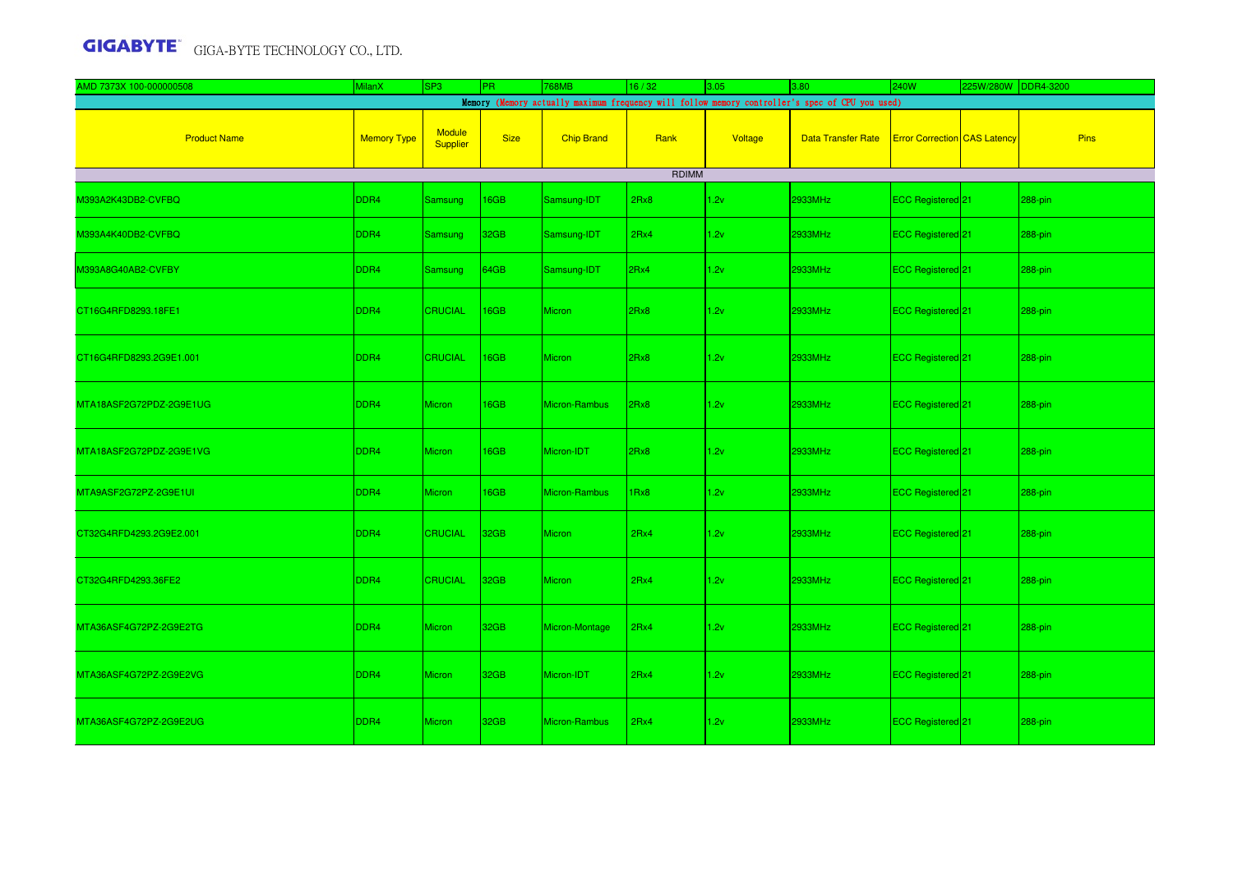| AMD 7373X 100-000000508 | <b>MilanX</b>      | SP <sub>3</sub>    | PR.         | 768MB             | 16/32                | 3.05    | 3.80                                                                                            | 240W                                | 225W/280W DDR4-3200 |             |
|-------------------------|--------------------|--------------------|-------------|-------------------|----------------------|---------|-------------------------------------------------------------------------------------------------|-------------------------------------|---------------------|-------------|
|                         |                    |                    |             |                   |                      |         | Memory (Memory actually maximum frequency will follow memory controller's spec of CPU you used) |                                     |                     |             |
| <b>Product Name</b>     | <b>Memory Type</b> | Module<br>Supplier | <b>Size</b> | <b>Chip Brand</b> | Rank<br><b>RDIMM</b> | Voltage | <b>Data Transfer Rate</b>                                                                       | <b>Error Correction</b> CAS Latency |                     | <b>Pins</b> |
|                         |                    |                    |             |                   |                      |         |                                                                                                 |                                     |                     |             |
| M393A2K43DB2-CVFBQ      | DDR4               | Samsung            | 16GB        | Samsung-IDT       | 2Rx8                 | 1.2v    | 2933MHz                                                                                         | ECC Registered 21                   |                     | 288-pin     |
| M393A4K40DB2-CVFBQ      | DDR4               | Samsung            | 32GB        | Samsung-IDT       | 2Rx4                 | 1.2v    | 2933MHz                                                                                         | ECC Registered 21                   |                     | 288-pin     |
| M393A8G40AB2-CVFBY      | DDR4               | Samsung            | 64GB        | Samsung-IDT       | 2Rx4                 | 1.2v    | 2933MHz                                                                                         | ECC Registered 21                   |                     | 288-pin     |
| CT16G4RFD8293.18FE1     | DDR <sub>4</sub>   | <b>CRUCIAL</b>     | 16GB        | <b>Micron</b>     | 2Rx8                 | 1.2v    | 2933MHz                                                                                         | ECC Registered <sup>21</sup>        |                     | 288-pin     |
| CT16G4RFD8293.2G9E1.001 | DDR4               | <b>CRUCIAL</b>     | 16GB        | <b>Micron</b>     | 2Rx8                 | 1.2v    | 2933MHz                                                                                         | ECC Registered 21                   |                     | 288-pin     |
| MTA18ASF2G72PDZ-2G9E1UG | DDR4               | <b>Micron</b>      | 16GB        | Micron-Rambus     | 2Rx8                 | 1.2v    | 2933MHz                                                                                         | ECC Registered 21                   |                     | 288-pin     |
| MTA18ASF2G72PDZ-2G9E1VG | DDR4               | Micron             | 16GB        | Micron-IDT        | 2Rx8                 | 1.2v    | 2933MHz                                                                                         | ECC Registered 21                   |                     | 288-pin     |
| MTA9ASF2G72PZ-2G9E1UI   | DDR4               | <b>Micron</b>      | 16GB        | Micron-Rambus     | 1Rx8                 | 1.2v    | 2933MHz                                                                                         | ECC Registered 21                   |                     | 288-pin     |
| CT32G4RFD4293.2G9E2.001 | DDR4               | <b>CRUCIAL</b>     | 32GB        | <b>Micron</b>     | 2Rx4                 | 1.2v    | 2933MHz                                                                                         | ECC Registered 21                   |                     | 288-pin     |
| CT32G4RFD4293.36FE2     | DDR4               | <b>CRUCIAL</b>     | 32GB        | <b>Micron</b>     | 2Rx4                 | 1.2v    | 2933MHz                                                                                         | ECC Registered <sup>21</sup>        |                     | 288-pin     |
| MTA36ASF4G72PZ-2G9E2TG  | DDR4               | <b>Micron</b>      | 32GB        | Micron-Montage    | 2Rx4                 | 1.2v    | 2933MHz                                                                                         | ECC Registered 21                   |                     | 288-pin     |
| MTA36ASF4G72PZ-2G9E2VG  | DDR4               | Micron             | 32GB        | Micron-IDT        | 2Rx4                 | 1.2v    | 2933MHz                                                                                         | ECC Registered 21                   |                     | 288-pin     |
| MTA36ASF4G72PZ-2G9E2UG  | DDR4               | <b>Micron</b>      | 32GB        | Micron-Rambus     | 2Rx4                 | 1.2v    | 2933MHz                                                                                         | ECC Registered <sup>21</sup>        |                     | 288-pin     |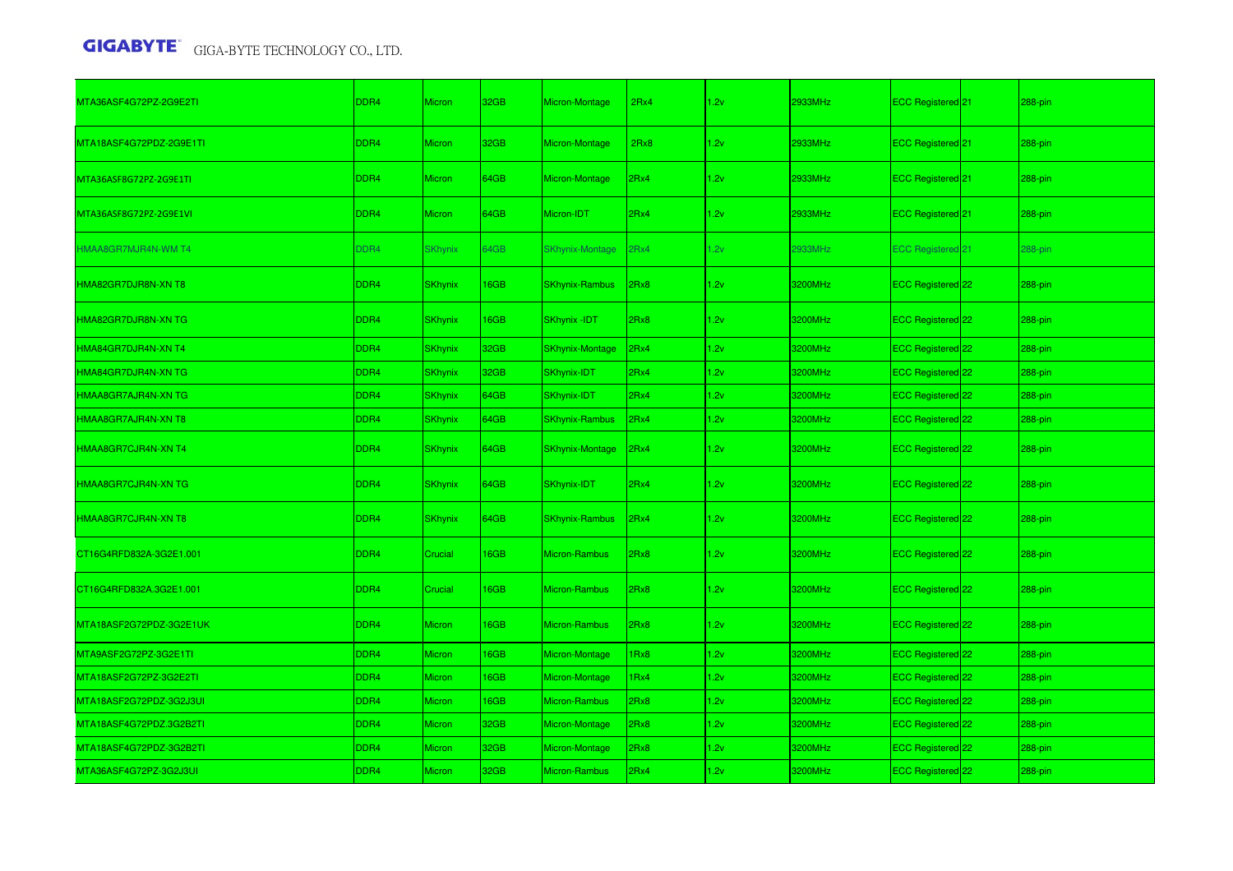| MTA36ASF4G72PZ-2G9E2TI  | DDR4             | <b>Micron</b>  | 32GB | Micron-Montage         | 2Rx4 | 1.2v | 2933MHz | ECC Registered <sup>1</sup> 21 | 288-pin    |
|-------------------------|------------------|----------------|------|------------------------|------|------|---------|--------------------------------|------------|
| MTA18ASF4G72PDZ-2G9E1TI | DDR4             | Micron         | 32GB | Micron-Montage         | 2Rx8 | 1.2v | 2933MHz | ECC Registered 21              | 288-pin    |
| MTA36ASF8G72PZ-2G9E1TI  | DDR4             | <b>Micron</b>  | 64GB | Micron-Montage         | 2Rx4 | 1.2v | 2933MHz | ECC Registered 21              | 288-pin    |
| MTA36ASF8G72PZ-2G9E1VI  | DDR4             | <b>Micron</b>  | 64GB | Micron-IDT             | 2Rx4 | 1.2v | 2933MHz | ECC Registered <sup>21</sup>   | 288-pin    |
| HMAA8GR7MJR4N-WM T4     | DDR4             | <b>SKhynix</b> | 64GB | SKhynix-Montage        | 2Rx4 | 1.2v | 2933MHz | <b>ECC Registered 21</b>       | 288-pin    |
| HMA82GR7DJR8N-XN T8     | DDR <sub>4</sub> | <b>SKhynix</b> | 16GB | <b>SKhynix-Rambus</b>  | 2Rx8 | 1.2v | 3200MHz | ECC Registered 22              | 288-pin    |
| HMA82GR7DJR8N-XN TG     | DDR4             | <b>SKhynix</b> | 16GB | SKhynix -IDT           | 2Rx8 | 1.2v | 3200MHz | ECC Registered 22              | 288-pin    |
| HMA84GR7DJR4N-XN T4     | DDR4             | <b>SKhynix</b> | 32GB | <b>SKhynix-Montage</b> | 2Rx4 | 1.2v | 3200MHz | ECC Registered 22              | 288-pin    |
| HMA84GR7DJR4N-XN TG     | DDR4             | <b>SKhynix</b> | 32GB | SKhynix-IDT            | 2Rx4 | 1.2v | 3200MHz | ECC Registered 22              | 288-pin    |
| HMAA8GR7AJR4N-XN TG     | DDR4             | <b>SKhynix</b> | 64GB | SKhynix-IDT            | 2Rx4 | 1.2v | 3200MHz | ECC Registered 22              | 288-pin    |
| HMAA8GR7AJR4N-XN T8     | DDR4             | <b>SKhynix</b> | 64GB | <b>SKhynix-Rambus</b>  | 2Rx4 | 1.2v | 3200MHz | ECC Registered 22              | 288-pin    |
| HMAA8GR7CJR4N-XN T4     | DDR4             | <b>SKhynix</b> | 64GB | <b>SKhynix-Montage</b> | 2Rx4 | 1.2v | 3200MHz | ECC Registered <sup>22</sup>   | 288-pin    |
| HMAA8GR7CJR4N-XN TG     | DDR4             | <b>SKhynix</b> | 64GB | SKhynix-IDT            | 2Rx4 | 1.2v | 3200MHz | ECC Registered 22              | 288-pin    |
| HMAA8GR7CJR4N-XN T8     | DDR4             | <b>SKhynix</b> | 64GB | <b>SKhynix-Rambus</b>  | 2Rx4 | 1.2v | 3200MHz | ECC Registered 22              | $288-pin$  |
| CT16G4RFD832A-3G2E1.001 | DDR4             | Crucial        | 16GB | Micron-Rambus          | 2Rx8 | 1.2v | 3200MHz | ECC Registered 22              | 288-pin    |
| CT16G4RFD832A.3G2E1.001 | DDR <sub>4</sub> | Crucial        | 16GB | Micron-Rambus          | 2Rx8 | 1.2v | 3200MHz | ECC Registered <sup>22</sup>   | $288$ -pin |
| MTA18ASF2G72PDZ-3G2E1UK | DDR4             | <b>Micron</b>  | 16GB | Micron-Rambus          | 2Rx8 | 1.2v | 3200MHz | <b>ECC Registered</b> 22       | 288-pin    |
| MTA9ASF2G72PZ-3G2E1TI   | DDR4             | <b>Micron</b>  | 16GB | Micron-Montage         | IRx8 | 1.2v | 3200MHz | ECC Registered 22              | 288-pin    |
| MTA18ASF2G72PZ-3G2E2TI  | DDR4             | Micron         | 16GB | Micron-Montage         | 1Rx4 | 1.2v | 3200MHz | ECC Registered 22              | 288-pin    |
| MTA18ASF2G72PDZ-3G2J3UI | DDR4             | Micron         | 16GB | <b>Micron-Rambus</b>   | 2Rx8 | 1.2v | 3200MHz | ECC Registered <sup>22</sup>   | 288-pin    |
| MTA18ASF4G72PDZ.3G2B2TI | DDR4             | <b>Micron</b>  | 32GB | Micron-Montage         | 2Rx8 | 1.2v | 3200MHz | ECC Registered 22              | 288-pin    |
| MTA18ASF4G72PDZ-3G2B2TI | DDR4             | Micron         | 32GB | Micron-Montage         | 2Rx8 | 1.2v | 3200MHz | ECC Registered 22              | 288-pin    |
| MTA36ASF4G72PZ-3G2J3UI  | DDR4             | <b>Micron</b>  | 32GB | <b>Micron-Rambus</b>   | 2Rx4 | 1.2v | 3200MHz | ECC Registered 22              | 288-pin    |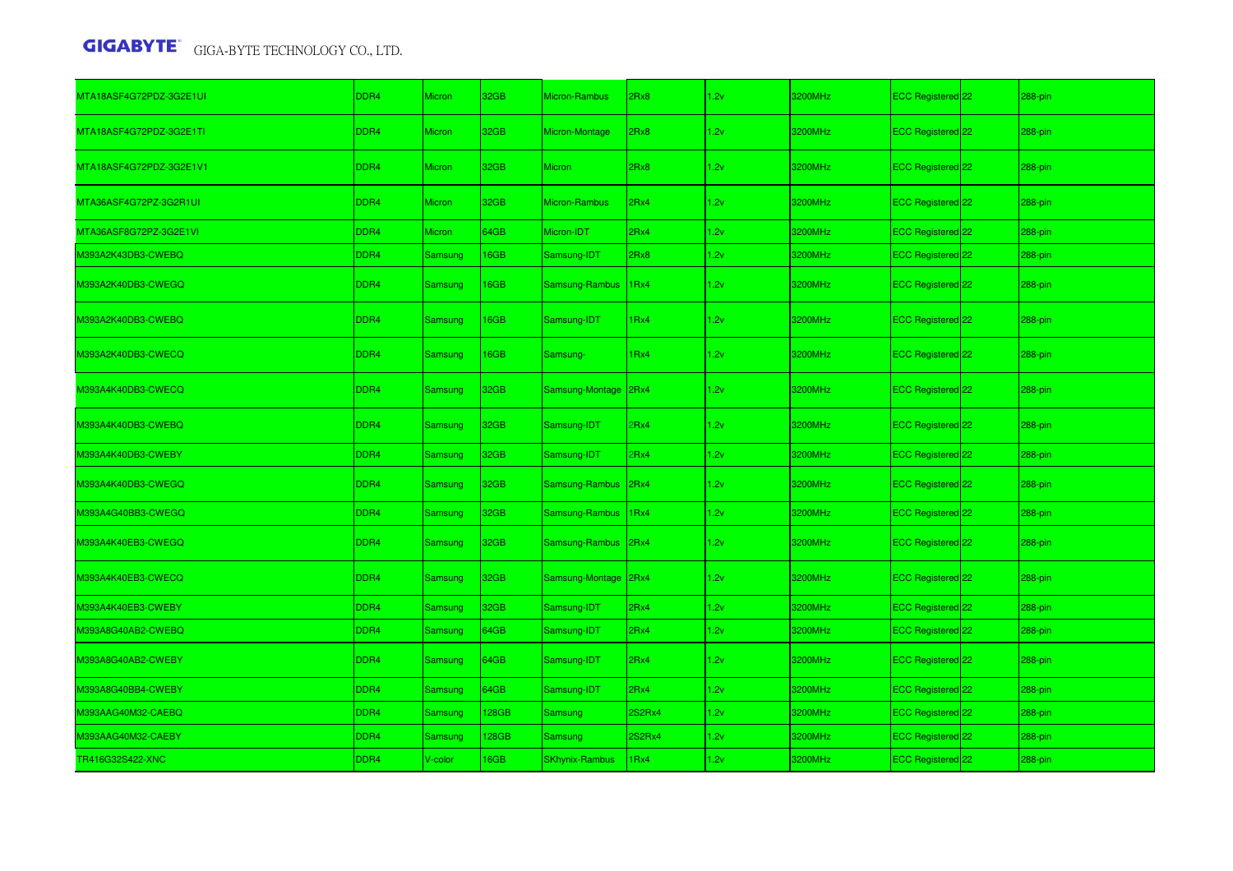| MTA18ASF4G72PDZ-3G2E1UI | DDR4             | <b>Micron</b>  | 32GB  | Micron-Rambus         | 2Rx8             | 1.2v | 3200MHz | ECC Registered 22            | 288-pin    |
|-------------------------|------------------|----------------|-------|-----------------------|------------------|------|---------|------------------------------|------------|
| MTA18ASF4G72PDZ-3G2E1TI | DDR4             | Micron         | 32GB  | Micron-Montage        | 2Rx8             | 1.2v | 3200MHz | ECC Registered 22            | $288$ -pin |
| MTA18ASF4G72PDZ-3G2E1V1 | DDR4             | <b>Micron</b>  | 32GB  | <b>Micron</b>         | 2Rx8             | 1.2v | 3200MHz | ECC Registered 22            | 288-pin    |
| MTA36ASF4G72PZ-3G2R1UI  | DDR4             | Micron         | 32GB  | <b>Micron-Rambus</b>  | 2Rx4             | 1.2v | 3200MHz | ECC Registered 22            | 288-pin    |
| MTA36ASF8G72PZ-3G2E1VI  | DDR4             | <b>Micron</b>  | 64GB  | Micron-IDT            | 2Rx4             | 1.2v | 3200MHz | ECC Registered 22            | 288-pin    |
| M393A2K43DB3-CWEBQ      | DDR4             | Samsung        | 16GB  | Samsung-IDT           | 2Rx8             | 1.2v | 3200MHz | ECC Registered 22            | 288-pin    |
| M393A2K40DB3-CWEGQ      | DDR4             | Samsung        | 16GB  | Samsung-Rambus        | 1 <sub>Rx4</sub> | 1.2v | 3200MHz | ECC Registered 22            | 288-pin    |
| M393A2K40DB3-CWEBQ      | DDR4             | Samsung        | 16GB  | Samsung-IDT           | IRx4             | 1.2v | 3200MHz | ECC Registered 22            | 288-pin    |
| M393A2K40DB3-CWECQ      | DDR4             | Samsung        | 16GB  | Samsung-              | 1 <sub>Rx4</sub> | 1.2v | 3200MHz | ECC Registered 22            | $288$ -pin |
| M393A4K40DB3-CWECQ      | DDR4             | Samsung        | 32GB  | Samsung-Montage       | 2Rx4             | 1.2v | 3200MHz | ECC Registered 22            | 288-pin    |
| M393A4K40DB3-CWEBQ      | DDR4             | <b>Samsung</b> | 32GB  | Samsung-IDT           | PRx4             | 1.2v | 3200MHz | ECC Registered 22            | 288-pin    |
| M393A4K40DB3-CWEBY      | DDR4             | Samsung        | 32GB  | Samsung-IDT           | PRx4             | 1.2v | 3200MHz | ECC Registered 22            | 288-pin    |
| M393A4K40DB3-CWEGQ      | DDR4             | Samsung        | 32GB  | Samsung-Rambus        | 2Rx4             | 1.2v | 3200MHz | ECC Registered 22            | $288$ -pin |
| M393A4G40BB3-CWEGQ      | DDR4             | Samsung        | 32GB  | Samsung-Rambus        | 1Rx4             | 1.2v | 3200MHz | ECC Registered 22            | 288-pin    |
| M393A4K40EB3-CWEGQ      | DDR4             | Samsung        | 32GB  | Samsung-Rambus        | 2Rx4             | 1.2v | 3200MHz | ECC Registered 22            | 288-pin    |
| M393A4K40EB3-CWECQ      | DDR4             | Samsung        | 32GB  | Samsung-Montage       | 2Rx4             | 1.2v | 3200MHz | ECC Registered 22            | 288-pin    |
| M393A4K40EB3-CWEBY      | DDR4             | Samsung        | 32GB  | Samsung-IDT           | 2Rx4             | 1.2v | 3200MHz | ECC Registered 22            | 288-pin    |
| M393A8G40AB2-CWEBQ      | DDR4             | Samsung        | 64GB  | Samsung-IDT           | 2Rx4             | 1.2v | 3200MHz | ECC Registered 22            | 288-pin    |
| M393A8G40AB2-CWEBY      | DDR4             | Samsung        | 64GB  | Samsung-IDT           | 2Rx4             | 1.2v | 3200MHz | ECC Registered <sup>22</sup> | $288$ -pin |
| M393A8G40BB4-CWEBY      | DDR <sub>4</sub> | Samsung        | 64GB  | Samsung-IDT           | 2Rx4             | 1.2v | 3200MHz | ECC Registered 22            | 288-pin    |
| M393AAG40M32-CAEBQ      | DDR4             | Samsung        | 128GB | Samsung               | 2S2Rx4           | 1.2v | 3200MHz | ECC Registered 22            | 288-pin    |
| M393AAG40M32-CAEBY      | DDR4             | Samsung        | 128GB | Samsung               | 2S2Rx4           | 1.2v | 3200MHz | ECC Registered <sup>22</sup> | 288-pin    |
| TR416G32S422-XNC        | DDR4             | V-color        | 16GB  | <b>SKhynix-Rambus</b> | IRx4             | 1.2v | 3200MHz | ECC Registered 22            | 288-pin    |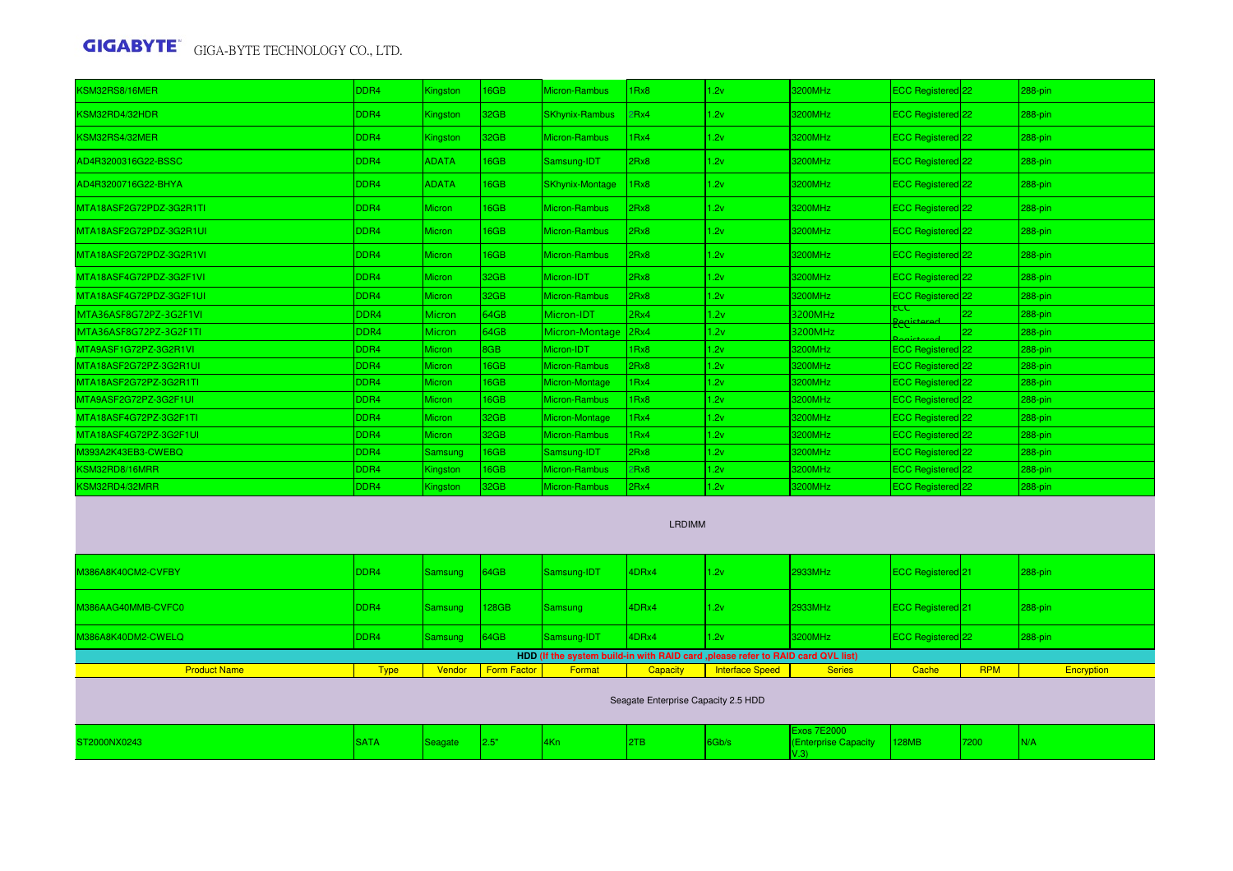| KSM32RS8/16MER          | DDR <sub>4</sub> | Kingston      | 16GB | Micron-Rambus         | 1Rx8 | 1.2v | 3200MHz | ECC Registered <sup>22</sup> |                 | 288-pin   |
|-------------------------|------------------|---------------|------|-----------------------|------|------|---------|------------------------------|-----------------|-----------|
| KSM32RD4/32HDR          | DDR <sub>4</sub> | Kingston      | 32GB | <b>SKhynix-Rambus</b> | 2Rx4 | 1.2v | 3200MHz | ECC Registered <sup>22</sup> |                 | $288-pin$ |
| KSM32RS4/32MER          | DDR4             | Kingston      | 32GB | Micron-Rambus         | 1Rx4 | 1.2v | 3200MHz | ECC Registered 22            |                 | 288-pin   |
| AD4R3200316G22-BSSC     | DDR <sub>4</sub> | <b>ADATA</b>  | 16GB | Samsung-IDT           | 2Rx8 | 1.2v | 3200MHz | <b>ECC Registered</b> 22     |                 | 288-pin   |
| AD4R3200716G22-BHYA     | DDR4             | <b>ADATA</b>  | 16GB | SKhynix-Montage       | 1Rx8 | 1.2v | 3200MHz | <b>ECC Registered</b> 22     |                 | 288-pin   |
| MTA18ASF2G72PDZ-3G2R1TI | DDR4             | Micron        | 16GB | Micron-Rambus         | 2Rx8 | 1.2v | 3200MHz | ECC Registered 22            |                 | 288-pin   |
| MTA18ASF2G72PDZ-3G2R1UI | DDR4             | <b>Micron</b> | 16GB | Micron-Rambus         | 2Rx8 | 1.2v | 3200MHz | <b>ECC Registered</b> 22     |                 | 288-pin   |
| MTA18ASF2G72PDZ-3G2R1VL | DDR <sub>4</sub> | <b>Micron</b> | 16GB | Micron-Rambus         | 2Rx8 | 1.2v | 3200MHz | <b>ECC Registered</b> 22     |                 | 288-pin   |
| MTA18ASF4G72PDZ-3G2F1VI | DDR <sub>4</sub> | <b>Micron</b> | 32GB | Micron-IDT            | 2Rx8 | 1.2v | 3200MHz | ECC Registered <sup>22</sup> |                 | 288-pin   |
| MTA18ASF4G72PDZ-3G2F1UI | DDR <sub>4</sub> | Micron        | 32GB | Micron-Rambus         | 2Rx8 | 1.2v | 3200MHz | ECC Registered 22            |                 | 288-pin   |
| MTA36ASF8G72PZ-3G2F1VI  | DDR4             | <b>Micron</b> | 64GB | Micron-IDT            | 2Rx4 | 1.2v | 3200MHz | ᡄᢗᠸ                          | 22              | 288-pin   |
| MTA36ASF8G72PZ-3G2F1TI  | DDR4             | Micron        | 64GB | Micron-Montage        | 2Rx4 | 1.2v | 3200MHz | <b>Recista</b>               | 22 <sub>1</sub> | 288-pin   |
| MTA9ASF1G72PZ-3G2R1VI   | DDR4             | <b>Micron</b> | 8GB  | Micron-IDT            | 1Rx8 | 1.2v | 3200MHz | ECC Registered <sup>22</sup> |                 | 288-pin   |
| MTA18ASF2G72PZ-3G2R1UI  | DDR4             | Micron        | 16GB | Micron-Rambus         | 2Rx8 | 1.2v | 3200MHz | <b>ECC Registered</b> 22     |                 | 288-pin   |
| MTA18ASF2G72PZ-3G2R1TI  | DDR4             | Micron        | 16GB | Micron-Montage        | 1Rx4 | 1.2v | 3200MHz | ECC Registered <sup>22</sup> |                 | 288-pin   |
| MTA9ASF2G72PZ-3G2F1UI   | DDR4             | Micron        | 16GB | <b>Micron-Rambus</b>  | 1Rx8 | 1.2v | 3200MHz | ECC Registered <sup>22</sup> |                 | 288-pin   |
| MTA18ASF4G72PZ-3G2F1TI  | DDR4             | Micron        | 32GB | Micron-Montage        | 1Rx4 | 1.2v | 3200MHz | ECC Registered <sup>22</sup> |                 | 288-pin   |
| MTA18ASF4G72PZ-3G2F1UI  | DDR4             | Micron        | 32GB | Micron-Rambus         | 1Rx4 | 1.2v | 3200MHz | ECC Registered <sup>22</sup> |                 | 288-pin   |
| M393A2K43EB3-CWEBQ      | DDR4             | Samsung       | 16GB | Samsung-IDT           | 2Rx8 | 1.2v | 3200MHz | ECC Registered <sup>22</sup> |                 | 288-pin   |
| KSM32RD8/16MRR          | DDR4             | Kingston      | 16GB | <b>Micron-Rambus</b>  | 2Rx8 | 1.2v | 3200MHz | ECC Registered 22            |                 | 288-pin   |
| KSM32RD4/32MRR          | DDR4             | Kingston      | 32GB | Micron-Rambus         | 2Rx4 | 1.2v | 3200MHz | ECC Registered 22            |                 | 288-pin   |
|                         |                  |               |      |                       |      |      |         |                              |                 |           |

#### LRDIMM

| M386A8K40CM2-CVFBY  | DDR <sub>4</sub> | Samsung | 64GB               | Samsung-IDT                                                                      | 4DRx4                               | 11.2v           | 2933MHz                                            | <b>ECC Registered</b> 21 |            | $288-pin$  |
|---------------------|------------------|---------|--------------------|----------------------------------------------------------------------------------|-------------------------------------|-----------------|----------------------------------------------------|--------------------------|------------|------------|
| M386AAG40MMB-CVFC0  | DDR <sub>4</sub> | Samsung | 128GB              | Samsung                                                                          | 4DRx4                               | 11.2v           | 2933MHz                                            | <b>ECC Registered</b> 21 |            | $288-pin$  |
| M386A8K40DM2-CWELQ  | DDR <sub>4</sub> | Samsung | 64GB               | Samsung-IDT                                                                      | 4DRx4                               | 11.2v           | 3200MHz                                            | ECC Registered 22        |            | $288-pin$  |
|                     |                  |         |                    | HDD (If the system build-in with RAID card , please refer to RAID card QVL list) |                                     |                 |                                                    |                          |            |            |
| <b>Product Name</b> | <b>Type</b>      | Vendor  | <b>Form Factor</b> | Format                                                                           | Capacity                            | Interface Speed | <b>Series</b>                                      | Cache                    | <b>RPM</b> | Encryption |
|                     |                  |         |                    |                                                                                  | Seagate Enterprise Capacity 2.5 HDD |                 |                                                    |                          |            |            |
| ST2000NX0243        | <b>SATA</b>      | Seagate | 2.5"               | $4$ Kn                                                                           | 2TB                                 | Gb/s            | <b>Exos 7E2000</b><br>(Enterprise Capacity<br>V.3) | <b>128MB</b>             | 7200       | IN/A       |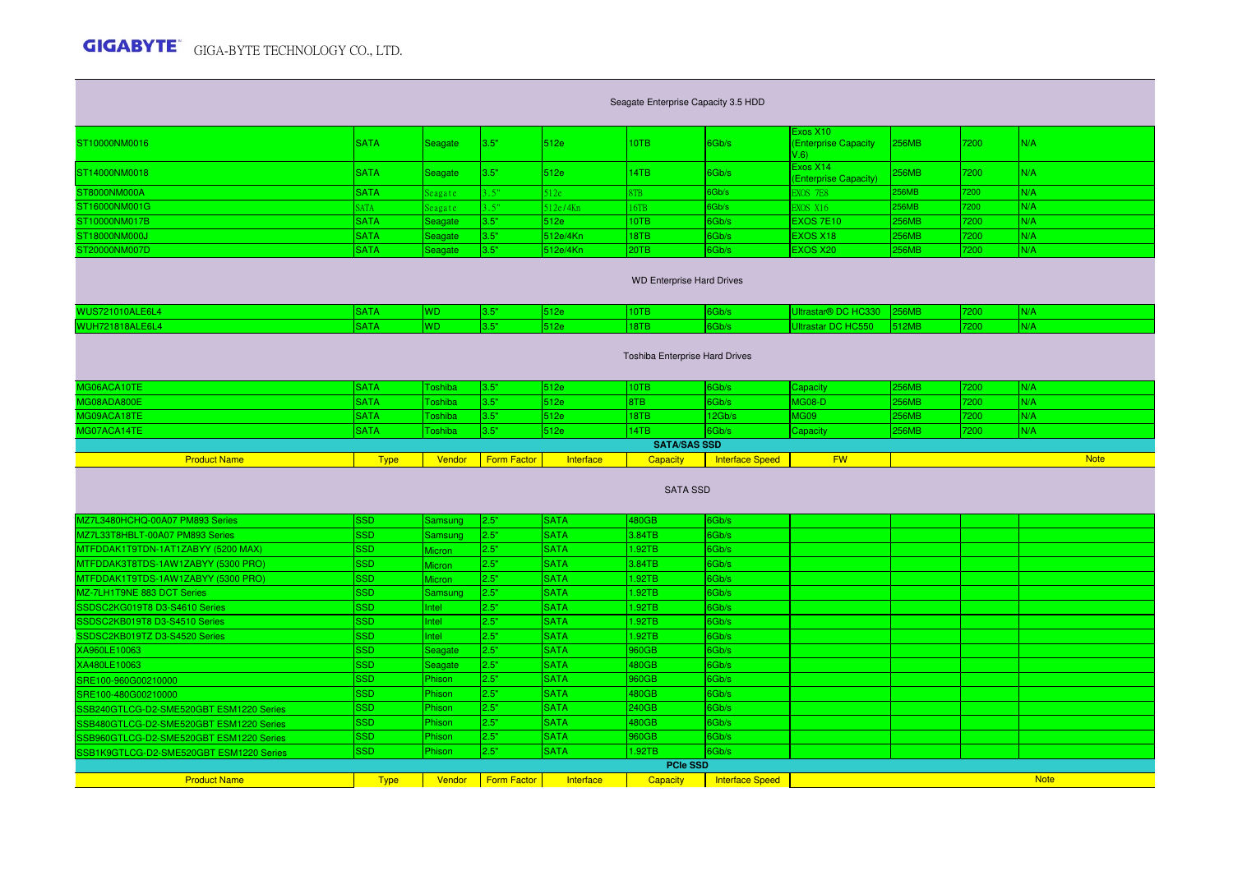|                                                                                                                                           |             |                |                    |             |                                |                        | Exos X10                    |              |      |             |  |  |  |
|-------------------------------------------------------------------------------------------------------------------------------------------|-------------|----------------|--------------------|-------------|--------------------------------|------------------------|-----------------------------|--------------|------|-------------|--|--|--|
| ST10000NM0016                                                                                                                             | <b>SATA</b> | Seagate        | 3.5"               | 512e        | 10TB                           | 6Gb/s                  | <b>Enterprise Capacity</b>  | <b>256MB</b> | 7200 | N/A         |  |  |  |
|                                                                                                                                           |             |                |                    |             |                                |                        | (6. V)<br>Exos X14          |              |      |             |  |  |  |
| ST14000NM0018                                                                                                                             | <b>SATA</b> | Seagate        | 3.5"               | 512e        | 14TB                           | 6Gb/s                  | <b>Enterprise Capacity)</b> | 256MB        | 7200 | N/A         |  |  |  |
| ST8000NM000A                                                                                                                              | <b>SATA</b> | eagate         | $-5"$              | 512e        | <b>STB</b>                     | 6Gb/s                  | <b>EXOS 7E8</b>             | 256MB        | 7200 | N/A         |  |  |  |
| ST16000NM001G                                                                                                                             | <b>SATA</b> | Seagate        | 3.5"               | 512e/4Kn    | 6TB                            | 6Gb/s                  | <b>EXOS X16</b>             | 256MB        | 7200 | N/A         |  |  |  |
| ST10000NM017B                                                                                                                             | <b>SATA</b> | Seagate        | 3.5"               | 512e        | 10TB                           | 6Gb/s                  | EXOS 7E10                   | 256MB        | 7200 | N/A         |  |  |  |
| ST18000NM000J                                                                                                                             | <b>SATA</b> | Seagate        | 3.5"               | 512e/4Kn    | 18TB                           | 6Gb/s                  | <b>EXOS X18</b>             | 256MB        | 7200 | N/A         |  |  |  |
| ST20000NM007D                                                                                                                             | <b>SATA</b> | Seagate        | 3.5"               | 512e/4Kn    | 20TB                           | 6Gb/s                  | EXOS X20                    | 256MB        | 7200 | N/A         |  |  |  |
|                                                                                                                                           |             |                |                    |             |                                |                        |                             |              |      |             |  |  |  |
|                                                                                                                                           |             |                |                    |             |                                |                        |                             |              |      |             |  |  |  |
| <b>WD Enterprise Hard Drives</b>                                                                                                          |             |                |                    |             |                                |                        |                             |              |      |             |  |  |  |
| <b>WUS721010ALE6L4</b><br><b>SATA</b><br>3.5"<br>6Gb/s<br>Ultrastar® DC HC330<br><b>256MB</b><br>7200<br>N/A<br><b>WD</b><br>512e<br>10TB |             |                |                    |             |                                |                        |                             |              |      |             |  |  |  |
| WUH721818ALE6L4                                                                                                                           | <b>SATA</b> | WD             | 3.5"               | 512e        | 18TB                           | 6Gb/s                  | Ultrastar DC HC550          | 512MB        | 7200 | N/A         |  |  |  |
|                                                                                                                                           |             |                |                    |             |                                |                        |                             |              |      |             |  |  |  |
|                                                                                                                                           |             |                |                    |             |                                |                        |                             |              |      |             |  |  |  |
|                                                                                                                                           |             |                |                    |             | Toshiba Enterprise Hard Drives |                        |                             |              |      |             |  |  |  |
|                                                                                                                                           |             |                |                    |             |                                |                        |                             |              |      |             |  |  |  |
| MG06ACA10TE                                                                                                                               | <b>SATA</b> | Toshiba        | 3.5"               | 512e        | 10TB                           | 6Gb/s                  | Capacity                    | 256MB        | 7200 | N/A         |  |  |  |
| MG08ADA800E                                                                                                                               | <b>SATA</b> | Toshiba        | 3.5"               | 512e        | 8TB                            | 6Gb/s                  | <b>MG08-D</b>               | 256MB        | 7200 | N/A         |  |  |  |
| MG09ACA18TE                                                                                                                               | <b>SATA</b> | <b>Toshiba</b> | 3.5"               | 512e        | 18TB                           | 12Gb/s                 | MG09                        | 256MB        | 7200 | N/A         |  |  |  |
| MG07ACA14TE                                                                                                                               | <b>SATA</b> | Toshiba        | 3.5"               | 512e        | 14TB                           | 6Gb/s                  | Capacity                    | 256MB        | 7200 | N/A         |  |  |  |
|                                                                                                                                           |             |                |                    |             | <b>SATA/SAS SSD</b>            |                        |                             |              |      |             |  |  |  |
|                                                                                                                                           |             |                |                    |             |                                |                        |                             |              |      |             |  |  |  |
| <b>Product Name</b>                                                                                                                       | <b>Type</b> | Vendor         | <b>Form Factor</b> | Interface   | Capacity                       | <b>Interface Speed</b> | <b>FW</b>                   |              |      | <b>Note</b> |  |  |  |
|                                                                                                                                           |             |                |                    |             |                                |                        |                             |              |      |             |  |  |  |
|                                                                                                                                           |             |                |                    |             | <b>SATA SSD</b>                |                        |                             |              |      |             |  |  |  |
|                                                                                                                                           |             |                |                    |             |                                |                        |                             |              |      |             |  |  |  |
| MZ7L3480HCHQ-00A07 PM893 Series                                                                                                           | <b>SSD</b>  | Samsung        | 2.5"               | <b>SATA</b> | 480GB                          | 6Gb/s                  |                             |              |      |             |  |  |  |
| MZ7L33T8HBLT-00A07 PM893 Series                                                                                                           | <b>SSD</b>  | Samsung        | 2.5"               | <b>SATA</b> | 3.84TB                         | 6Gb/s                  |                             |              |      |             |  |  |  |
| MTFDDAK1T9TDN-1AT1ZABYY (5200 MAX)                                                                                                        | <b>SSD</b>  | <b>Micron</b>  | 2.5"               | <b>SATA</b> | 1.92TB                         | 6Gb/s                  |                             |              |      |             |  |  |  |
| MTFDDAK3T8TDS-1AW1ZABYY (5300 PRO)                                                                                                        | <b>SSD</b>  | <b>Micron</b>  | 2.5"               | <b>SATA</b> | 3.84TB                         | 6Gb/s                  |                             |              |      |             |  |  |  |
| MTFDDAK1T9TDS-1AW1ZABYY (5300 PRO)                                                                                                        | <b>SSD</b>  | <b>Aicron</b>  | 2.5"               | <b>SATA</b> | 1.92TB                         | 6Gb/s                  |                             |              |      |             |  |  |  |
| MZ-7LH1T9NE 883 DCT Series                                                                                                                | <b>SSD</b>  | Samsung        | 2.5"               | <b>SATA</b> | 1.92TB                         | 6Gb/s                  |                             |              |      |             |  |  |  |
| SDSC2KG019T8 D3-S4610 Series                                                                                                              | <b>SSD</b>  | Intel          | 2.5"               | <b>SATA</b> | 1.92TB                         | 6Gb/s                  |                             |              |      |             |  |  |  |
| SSDSC2KB019T8 D3-S4510 Series                                                                                                             | <b>SSD</b>  | Intel          | 2.5"               | <b>SATA</b> | 1.92TB                         | 6Gb/s                  |                             |              |      |             |  |  |  |
| SSDSC2KB019TZ D3-S4520 Series                                                                                                             | <b>SSD</b>  | Intel          | 2.5"               | <b>SATA</b> | 1.92TB                         | 6Gb/s                  |                             |              |      |             |  |  |  |
| XA960LE10063                                                                                                                              | <b>SSD</b>  | Seagate        | 2.5"               | <b>SATA</b> | 960GB                          | 6Gb/s                  |                             |              |      |             |  |  |  |
| XA480LE10063                                                                                                                              | <b>SSD</b>  | Seagate        | 2.5"               | <b>SATA</b> | 480GB                          | 6Gb/s                  |                             |              |      |             |  |  |  |
| RE100-960G00210000                                                                                                                        | <b>SSD</b>  | Phison         | 2.5"               | <b>SATA</b> | 960GB                          | 6Gb/s                  |                             |              |      |             |  |  |  |
| RE100-480G00210000                                                                                                                        | <b>SSD</b>  | Phison         | 2.5"               | <b>SATA</b> | 480GB                          | 6Gb/s                  |                             |              |      |             |  |  |  |
|                                                                                                                                           | <b>SSD</b>  | Phison         | 2.5"               | <b>SATA</b> | 240GB                          | 6Gb/s                  |                             |              |      |             |  |  |  |
| SB240GTLCG-D2-SME520GBT ESM1220 Series                                                                                                    | <b>SSD</b>  | Phison         | 2.5"               | <b>SATA</b> | 480GB                          | 6Gb/s                  |                             |              |      |             |  |  |  |
| SB480GTLCG-D2-SME520GBT ESM1220 Series<br>SB960GTLCG-D2-SME520GBT ESM1220 Series                                                          | <b>SSD</b>  | Phison         | 2.5"               | <b>SATA</b> | 960GB                          | 6Gb/s                  |                             |              |      |             |  |  |  |
|                                                                                                                                           | SSD         | Phison         | 2.5"               | <b>SATA</b> | .92TB                          | 6Gb/s                  |                             |              |      |             |  |  |  |
| SSB1K9GTLCG-D2-SME520GBT ESM1220 Series                                                                                                   |             |                |                    |             | <b>PCIe SSD</b>                |                        |                             |              |      |             |  |  |  |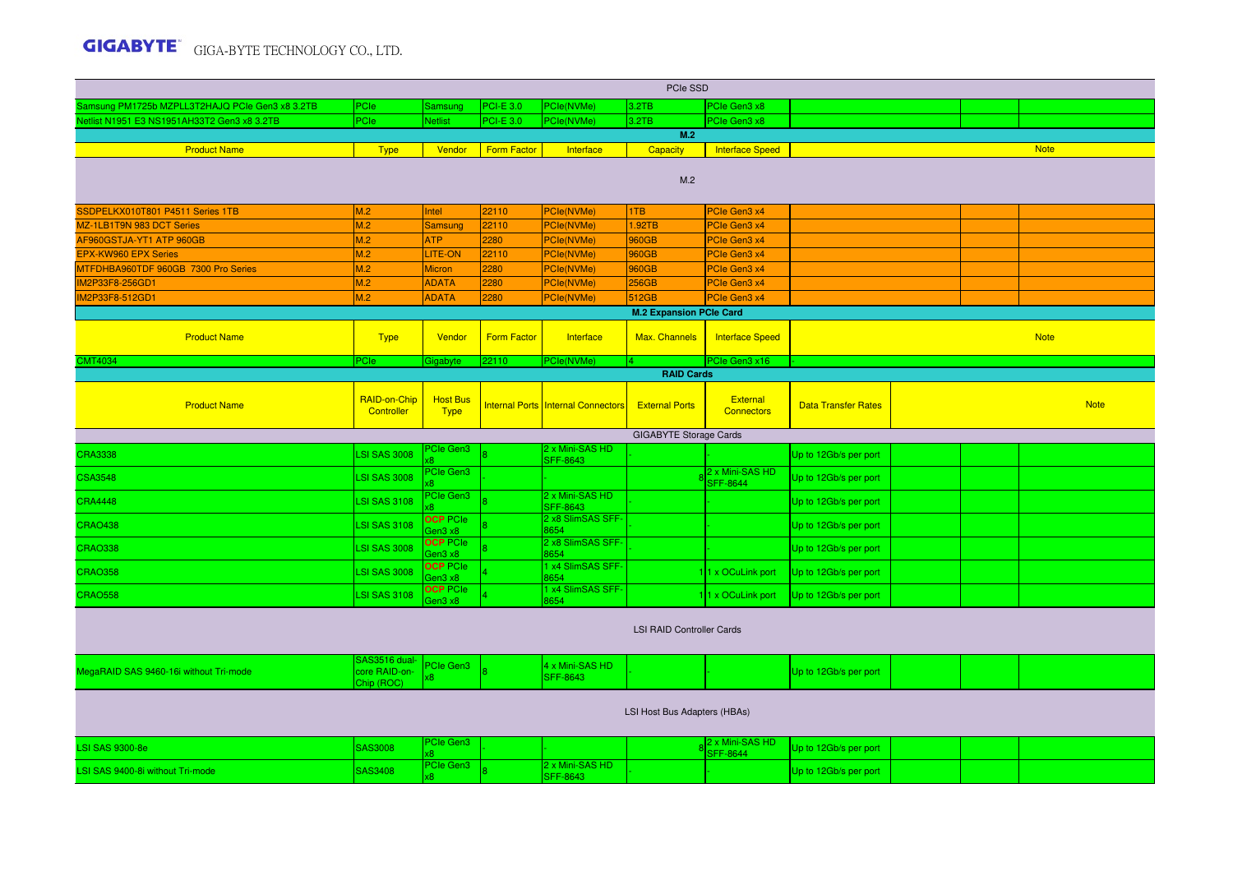|                                                         |                                              |                                |                    |                                           | PCIe SSD                         |                                      |                            |  |             |
|---------------------------------------------------------|----------------------------------------------|--------------------------------|--------------------|-------------------------------------------|----------------------------------|--------------------------------------|----------------------------|--|-------------|
| Samsung PM1725b MZPLL3T2HAJQ PCIe Gen3 x8 3.2TB         | PCIe                                         | Samsung                        | <b>PCI-E 3.0</b>   | PCle(NVMe)                                | 3.2TB                            | PCle Gen3 x8                         |                            |  |             |
| Vetlist N1951 E3 NS1951AH33T2 Gen3 x8 3.2TB             | <b>PCle</b>                                  | <b>Netlist</b>                 | <b>PCI-E 3.0</b>   | PCle(NVMe)                                | 3.2TB                            | PCIe Gen3 x8                         |                            |  |             |
|                                                         |                                              |                                |                    |                                           | M.2                              |                                      |                            |  |             |
| <b>Product Name</b>                                     | <b>Type</b>                                  | Vendor                         | <b>Form Factor</b> | Interface                                 | <b>Capacity</b>                  | <b>Interface Speed</b>               |                            |  | <b>Note</b> |
|                                                         |                                              |                                |                    |                                           | M.2                              |                                      |                            |  |             |
| SSDPELKX010T801 P4511 Series 1TB                        | M.2                                          | Intel                          | 22110              | PCle(NVMe)                                | 1TB                              | PCIe Gen3 x4                         |                            |  |             |
| MZ-1LB1T9N 983 DCT Series                               | M.2                                          | <b>Samsung</b>                 | 22110              | <b>PCle(NVMe)</b>                         | 1.92TB                           | PCIe Gen3 x4                         |                            |  |             |
| AF960GSTJA-YT1 ATP 960GB<br><b>EPX-KW960 EPX Series</b> | M.2<br>M.2                                   | <b>ATP</b><br>LITE-ON          | 2280<br>22110      | PCle(NVMe)<br>PCle(NVMe)                  | 960GB<br>960GB                   | PCIe Gen3 x4<br>PCIe Gen3 x4         |                            |  |             |
| MTFDHBA960TDF 960GB 7300 Pro Series                     | M.2                                          | <b>Micron</b>                  | 2280               | PCle(NVMe)                                | 960GB                            | PCle Gen3 x4                         |                            |  |             |
| IM2P33F8-256GD1                                         | M.2                                          | <b>ADATA</b>                   | 2280               | <b>PCle(NVMe)</b>                         | 256GB                            | PCle Gen3 x4                         |                            |  |             |
| IM2P33F8-512GD1                                         | M.2                                          | <b>ADATA</b>                   | 2280               | <b>PCle(NVMe)</b>                         | 512GB                            | PCIe Gen3 x4                         |                            |  |             |
|                                                         |                                              |                                |                    |                                           | <b>M.2 Expansion PCIe Card</b>   |                                      |                            |  |             |
| <b>Product Name</b>                                     | <b>Type</b>                                  | Vendor                         | <b>Form Factor</b> | Interface                                 | Max. Channels                    | <b>Interface Speed</b>               |                            |  | <b>Note</b> |
| <b>CMT4034</b>                                          | PCIe                                         | <b>Sigabyte</b>                | 22110              | <b>PCle(NVMe</b>                          | 14.                              | PCIe Gen3 x16                        |                            |  |             |
|                                                         |                                              |                                |                    |                                           | <b>RAID Cards</b>                |                                      |                            |  |             |
| <b>Product Name</b>                                     | <b>RAID-on-Chip</b><br>Controller            | <b>Host Bus</b><br><b>Type</b> |                    | <b>Internal Ports Internal Connectors</b> | <b>External Ports</b>            | <b>External</b><br><b>Connectors</b> | <b>Data Transfer Rates</b> |  | <b>Note</b> |
|                                                         |                                              |                                |                    |                                           | <b>GIGABYTE Storage Cards</b>    |                                      |                            |  |             |
| <b>CRA3338</b>                                          | <b>LSI SAS 3008</b>                          | <sup>P</sup> Cle Gen3          |                    | 2 x Mini-SAS HD<br><b>SFF-8643</b>        |                                  |                                      | Up to 12Gb/s per port      |  |             |
| <b>CSA3548</b>                                          | <b>LSI SAS 3008</b>                          | <sup>P</sup> Cle Gen3          |                    |                                           |                                  | 2 x Mini-SAS HD<br><b>SFF-8644</b>   | Up to 12Gb/s per port      |  |             |
| <b>CRA4448</b>                                          | <b>LSI SAS 3108</b>                          | <sup>P</sup> Cle Gen3          |                    | 2 x Mini-SAS HD<br>SFF-8643               |                                  |                                      | Up to 12Gb/s per port      |  |             |
| <b>CRAO438</b>                                          | <b>LSI SAS 3108</b>                          | <b>OCP PCIe</b><br>en3 x8      |                    | 2 x8 SlimSAS SFF-<br>8654                 |                                  |                                      | Up to 12Gb/s per port      |  |             |
| <b>CRAO338</b>                                          | <b>LSI SAS 3008</b>                          | <b>OCP PCIe</b><br>Gen3 x8     |                    | 2 x8 SlimSAS SFF<br>3654                  |                                  |                                      | Up to 12Gb/s per port      |  |             |
| <b>CRAO358</b>                                          | <b>LSI SAS 3008</b>                          | <b>OCP PCIe</b><br>en3 x8      |                    | x4 SlimSAS SFF-<br>3654                   |                                  | 1 x OCuLink port                     | Up to 12Gb/s per port      |  |             |
| <b>CRAO558</b>                                          | <b>LSI SAS 3108</b>                          | <b>OCP PCIe</b><br>den3 x8     |                    | x4 SlimSAS SFF-<br>8654                   |                                  | 1 x OCuLink port                     | Up to 12Gb/s per port      |  |             |
|                                                         |                                              |                                |                    |                                           | <b>LSI RAID Controller Cards</b> |                                      |                            |  |             |
| MegaRAID SAS 9460-16i without Tri-mode                  | SAS3516 dual-<br>core RAID-on-<br>Chip (ROC) | PCIe Gen3                      |                    | 4 x Mini-SAS HD<br><b>SFF-8643</b>        |                                  |                                      | Up to 12Gb/s per port      |  |             |
|                                                         |                                              |                                |                    |                                           | LSI Host Bus Adapters (HBAs)     |                                      |                            |  |             |
| <b>LSI SAS 9300-8e</b>                                  | <b>SAS3008</b>                               | <sup>P</sup> Cle Gen3          |                    |                                           |                                  | 2 x Mini-SAS HD<br><b>SFF-8644</b>   | Up to 12Gb/s per port      |  |             |
| LSI SAS 9400-8i without Tri-mode                        | <b>SAS3408</b>                               | PCIe Gen3                      |                    | 2 x Mini-SAS HD<br><b>SFF-8643</b>        |                                  |                                      | Up to 12Gb/s per port      |  |             |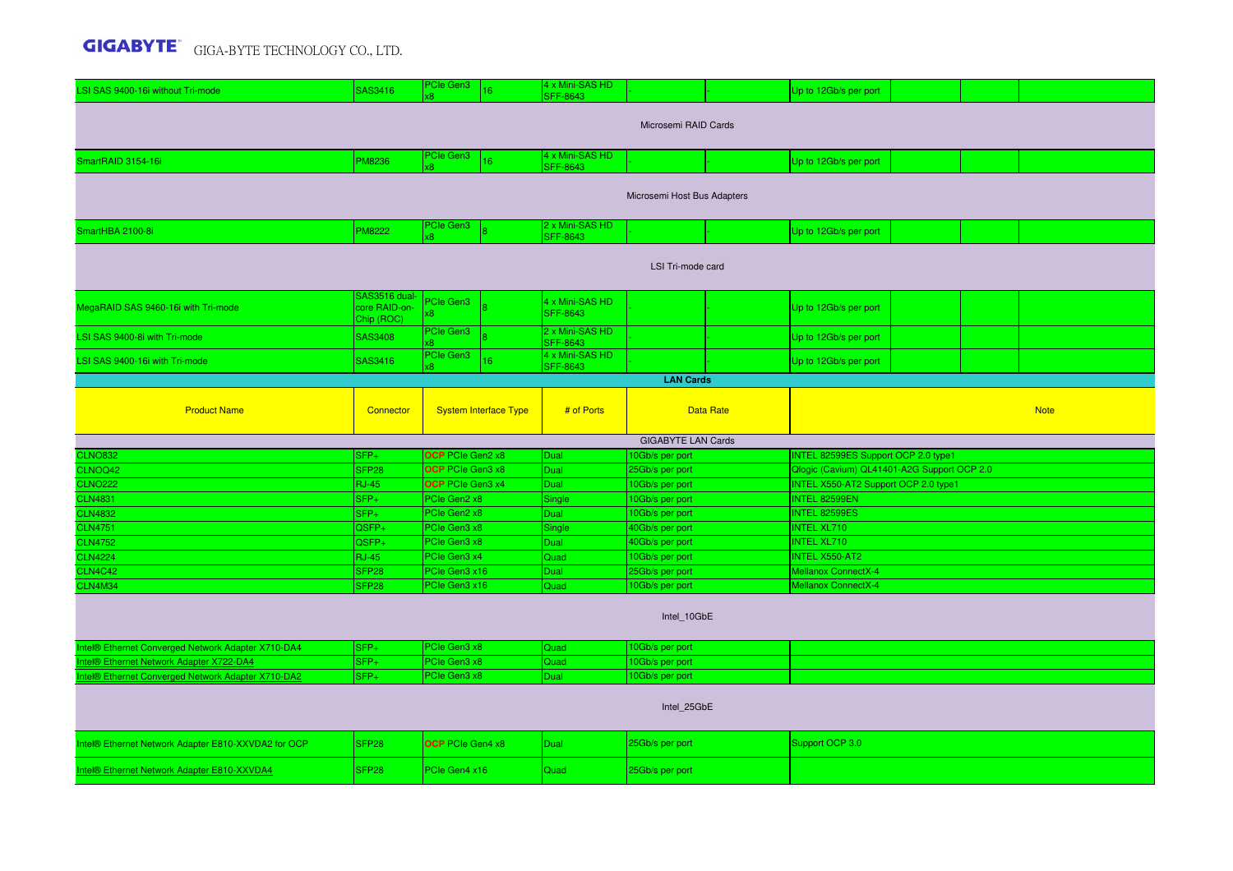| LSI SAS 9400-16i without Tri-mode                   | SAS3416                                      | PCIe Gen3                    | 16                           | 4 x Mini-SAS HD<br><b>SFF-8643</b> |                                    |                  | Up to 12Gb/s per port                       |  |             |
|-----------------------------------------------------|----------------------------------------------|------------------------------|------------------------------|------------------------------------|------------------------------------|------------------|---------------------------------------------|--|-------------|
|                                                     |                                              |                              |                              |                                    | Microsemi RAID Cards               |                  |                                             |  |             |
|                                                     |                                              | PCIe Gen3                    |                              | 4 x Mini-SAS HD                    |                                    |                  |                                             |  |             |
| SmartRAID 3154-16i                                  | PM8236                                       |                              | 16                           | <b>SFF-8643</b>                    |                                    |                  | Up to 12Gb/s per port                       |  |             |
|                                                     |                                              |                              |                              |                                    | Microsemi Host Bus Adapters        |                  |                                             |  |             |
| SmartHBA 2100-8i                                    | <b>PM8222</b>                                | PCIe Gen3<br>x8.             |                              | 2 x Mini-SAS HD<br><b>SFF-8643</b> |                                    |                  | Up to 12Gb/s per port                       |  |             |
|                                                     |                                              |                              |                              |                                    | LSI Tri-mode card                  |                  |                                             |  |             |
| MegaRAID SAS 9460-16i with Tri-mode                 | SAS3516 dual-<br>core RAID-on-<br>Chip (ROC) | PCIe Gen3<br>κ8              |                              | 4 x Mini-SAS HD<br><b>SFF-8643</b> |                                    |                  | Up to 12Gb/s per port                       |  |             |
| LSI SAS 9400-8i with Tri-mode                       | SAS3408                                      | PCIe Gen3                    |                              | 2 x Mini-SAS HD<br><b>SFF-8643</b> |                                    |                  | Up to 12Gb/s per port                       |  |             |
| LSI SAS 9400-16i with Tri-mode                      | SAS3416                                      | PCIe Gen3                    |                              | 4 x Mini-SAS HD<br><b>SFF-8643</b> |                                    |                  | Up to 12Gb/s per port                       |  |             |
|                                                     |                                              |                              |                              |                                    | <b>LAN Cards</b>                   |                  |                                             |  |             |
| <b>Product Name</b>                                 | Connector                                    |                              | <b>System Interface Type</b> | # of Ports                         |                                    | <b>Data Rate</b> |                                             |  | <b>Note</b> |
|                                                     |                                              |                              |                              |                                    |                                    |                  |                                             |  |             |
|                                                     |                                              |                              |                              |                                    | <b>GIGABYTE LAN Cards</b>          |                  |                                             |  |             |
| <b>CLNO832</b>                                      | SFP+                                         | OCP PCIe Gen2 x8             |                              | Dual                               | 10Gb/s per port                    |                  | INTEL 82599ES Support OCP 2.0 type1         |  |             |
| CLNOQ42                                             | SFP <sub>28</sub>                            | <b>OCP</b> PCIe Gen3 x8      |                              | Dual                               | 25Gb/s per port                    |                  | Qlogic (Cavium) QL41401-A2G Support OCP 2.0 |  |             |
| <b>CLNO222</b>                                      | <b>RJ-45</b>                                 | OCP PCIe Gen3 x4             |                              | Dual                               | 10Gb/s per port                    |                  | <b>INTEL X550-AT2 Support OCP 2.0 type1</b> |  |             |
| <b>CLN4831</b>                                      | $SFP+$                                       | PCle Gen2 x8<br>PCle Gen2 x8 |                              | Single                             | 10Gb/s per port                    |                  | INTEL 82599EN<br><b>INTEL 82599ES</b>       |  |             |
| <b>CLN4832</b><br><b>CLN4751</b>                    | $SFP+$<br>QSFP+                              | PCle Gen3 x8                 |                              | Dual                               | 10Gb/s per port                    |                  | <b>INTEL XL710</b>                          |  |             |
| <b>CLN4752</b>                                      | QSFP+                                        | PCle Gen3 x8                 |                              | Single<br>Dual                     | 40Gb/s per port<br>40Gb/s per port |                  | <b>INTEL XL710</b>                          |  |             |
| <b>CLN4224</b>                                      | <b>RJ-45</b>                                 | PCle Gen3 x4                 |                              | Quad                               | 10Gb/s per port                    |                  | <b>INTEL X550-AT2</b>                       |  |             |
| <b>CLN4C42</b>                                      | SFP <sub>28</sub>                            | PCle Gen3 x16                |                              | <b>Dual</b>                        | 25Gb/s per port                    |                  | <b>Mellanox ConnectX-4</b>                  |  |             |
| CLN4M34                                             | SFP28                                        | PCle Gen3 x16                |                              | Quad                               | 10Gb/s per port                    |                  | <b>Mellanox ConnectX-4</b>                  |  |             |
|                                                     |                                              |                              |                              |                                    | Intel 10GbE                        |                  |                                             |  |             |
| Intel® Ethernet Converged Network Adapter X710-DA4  | $SFP+$                                       | PCIe Gen3 x8                 |                              | Quad                               | 10Gb/s per port                    |                  |                                             |  |             |
| ntel® Ethernet Network Adapter X722-DA4             | SFP+                                         | PCle Gen3 x8                 |                              | Quad                               | 10Gb/s per port                    |                  |                                             |  |             |
| ntel® Ethernet Converged Network Adapter X710-DA2   | $SFP+$                                       | PCle Gen3 x8                 |                              | Dual                               | 10Gb/s per port                    |                  |                                             |  |             |
|                                                     |                                              |                              |                              |                                    | Intel 25GbE                        |                  |                                             |  |             |
| Intel® Ethernet Network Adapter E810-XXVDA2 for OCP | SFP <sub>28</sub>                            | <b>OCP</b> PCIe Gen4 x8      |                              | <b>Dual</b>                        | 25Gb/s per port                    |                  | Support OCP 3.0                             |  |             |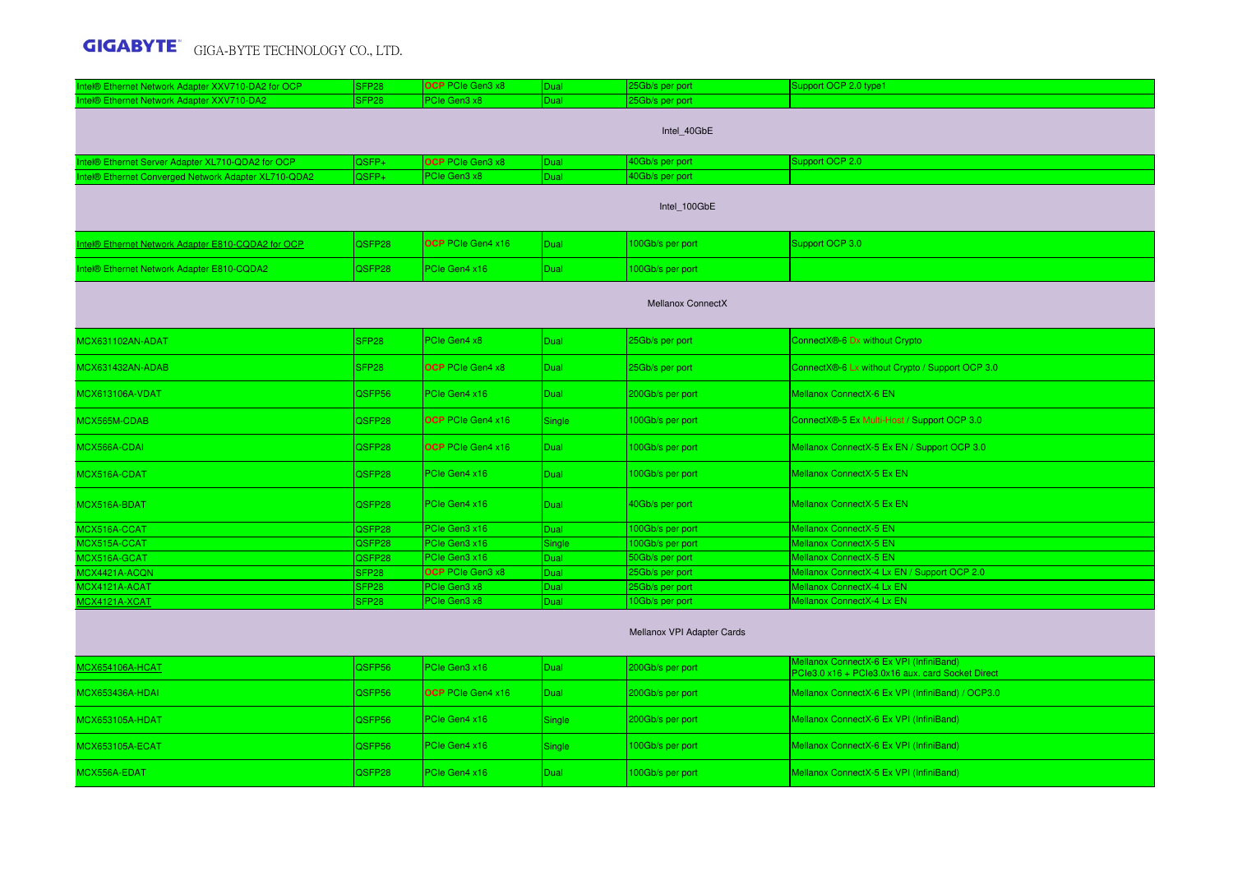| Intel® Ethernet Network Adapter XXV710-DA2 for OCP   | SFP <sub>28</sub> | <b>OCP</b> PCIe Gen3 x8  | <b>Dual</b> | 25Gb/s per port            | Support OCP 2.0 type1                                                                       |
|------------------------------------------------------|-------------------|--------------------------|-------------|----------------------------|---------------------------------------------------------------------------------------------|
| Intel® Ethernet Network Adapter XXV710-DA2           | SFP <sub>28</sub> | PCle Gen3 x8             | Dual        | 25Gb/s per port            |                                                                                             |
|                                                      |                   |                          |             | Intel_40GbE                |                                                                                             |
| ntel® Ethernet Server Adapter XL710-QDA2 for OCP     | QSFP+             | OCP PCIe Gen3 x8         | Dual        | 40Gb/s per port            | Support OCP 2.0                                                                             |
| Intel® Ethernet Converged Network Adapter XL710-QDA2 | QSFP+             | PCle Gen3 x8             | Dual        | 40Gb/s per port            |                                                                                             |
|                                                      |                   |                          |             | Intel_100GbE               |                                                                                             |
| Intel® Ethernet Network Adapter E810-CQDA2 for OCP   | QSFP28            | <b>OCP</b> PCIe Gen4 x16 | <b>Dual</b> | 100Gb/s per port           | Support OCP 3.0                                                                             |
| Intel® Ethernet Network Adapter E810-CQDA2           | QSFP28            | PCIe Gen4 x16            | <b>Dual</b> | 100Gb/s per port           |                                                                                             |
|                                                      |                   |                          |             | Mellanox ConnectX          |                                                                                             |
| MCX631102AN-ADAT                                     | SFP <sub>28</sub> | PCle Gen4 x8             | Dual        | 25Gb/s per port            | ConnectX®-6 Dx without Crypto                                                               |
| MCX631432AN-ADAB                                     | SFP <sub>28</sub> | <b>OCP</b> PCIe Gen4 x8  | <b>Dual</b> | 25Gb/s per port            | ConnectX®-6 Lx without Crypto / Support OCP 3.0                                             |
| <b>MCX613106A-VDAT</b>                               | QSFP56            | PCIe Gen4 x16            | <b>Dual</b> | 200Gb/s per port           | Mellanox ConnectX-6 EN                                                                      |
| MCX565M-CDAB                                         | QSFP28            | OCP PCIe Gen4 x16        | Single      | 100Gb/s per port           | ConnectX®-5 Ex Multi-Host / Support OCP 3.0                                                 |
| MCX566A-CDAI                                         | QSFP28            | OCP PCIe Gen4 x16        | <b>Dual</b> | 100Gb/s per port           | Mellanox ConnectX-5 Ex EN / Support OCP 3.0                                                 |
| MCX516A-CDAT                                         | QSFP28            | PCIe Gen4 x16            | <b>Dual</b> | 100Gb/s per port           | Mellanox ConnectX-5 Ex EN                                                                   |
| MCX516A-BDAT                                         | QSFP28            | PCIe Gen4 x16            | <b>Dual</b> | 40Gb/s per port            | Mellanox ConnectX-5 Ex EN                                                                   |
| MCX516A-CCAT                                         | QSFP28            | PCle Gen3 x16            | Dual        | 100Gb/s per port           | Mellanox ConnectX-5 EN                                                                      |
| MCX515A-CCAT                                         | QSFP28            | PCle Gen3 x16            | Single      | 100Gb/s per port           | Mellanox ConnectX-5 EN                                                                      |
| MCX516A-GCAT                                         | QSFP28            | PCle Gen3 x16            | Dual        | 50Gb/s per port            | Mellanox ConnectX-5 EN                                                                      |
| MCX4421A-ACQN                                        | SFP <sub>28</sub> | OCP PCIe Gen3 x8         | <b>Dual</b> | 25Gb/s per port            | Mellanox ConnectX-4 Lx EN / Support OCP 2.0                                                 |
| MCX4121A-ACAT                                        | SFP <sub>28</sub> | PCle Gen3 x8             | Dual        | 25Gb/s per port            | Mellanox ConnectX-4 Lx EN                                                                   |
| MCX4121A-XCAT                                        | SFP <sub>28</sub> | PCIe Gen3 x8             | Dual        | 10Gb/s per port            | Mellanox ConnectX-4 Lx EN                                                                   |
|                                                      |                   |                          |             | Mellanox VPI Adapter Cards |                                                                                             |
| <b>MCX654106A-HCAT</b>                               | QSFP56            | PCIe Gen3 x16            | <b>Dual</b> | 200Gb/s per port           | Mellanox ConnectX-6 Ex VPI (InfiniBand)<br>PCle3.0 x16 + PCle3.0x16 aux. card Socket Direct |
| MCX653436A-HDAI                                      | QSFP56            | <b>OCP</b> PCIe Gen4 x16 | <b>Dual</b> | 200Gb/s per port           | Mellanox ConnectX-6 Ex VPI (InfiniBand) / OCP3.0                                            |
| MCX653105A-HDAT                                      | QSFP56            | PCIe Gen4 x16            | Single      | 200Gb/s per port           | Mellanox ConnectX-6 Ex VPI (InfiniBand)                                                     |
| <b>MCX653105A-ECAT</b>                               | QSFP56            | PCIe Gen4 x16            | Single      | 100Gb/s per port           | Mellanox ConnectX-6 Ex VPI (InfiniBand)                                                     |
| MCX556A-EDAT                                         | QSFP28            | PCIe Gen4 x16            | <b>Dual</b> | 100Gb/s per port           | Mellanox ConnectX-5 Ex VPI (InfiniBand)                                                     |